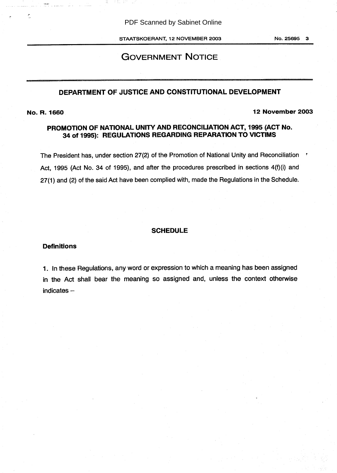PDF Scanned by Sabinet Online

STAATSKOERANT, 12 NOVEMBER 2003

No. 25695 3

# GOVERNMENT NOTICE

# DEPARTMENT OF JUSTICE AND CONSTITUTIONAL DEVELOPMENT

Ċ

No. R. 1660 12 November 2003

## PROMOTION OF NATIONAL UNITY AND RECONCILIATION ACT, 1995 (ACT No. 34 of 1995): REGULATIONS REGARDING REPARATION TO VICTIMS

The President has, under section 27(2) of the Promotion of National Unity and Reconciliation : Act, 1995 (Act No. 34 of 1995), and after the procedures prescribed in sections 4(f)(i) and 27(1) and (2) of the said Act have been complied with, made the Regulations in the Schedule.

### **SCHEDULE**

#### **Definitions**

<sup>1</sup> . In these Regulations, any word or expression to which a meaning has been assigned in the Act shall bear the meaning so assigned and, unless the context otherwise  $indicates -$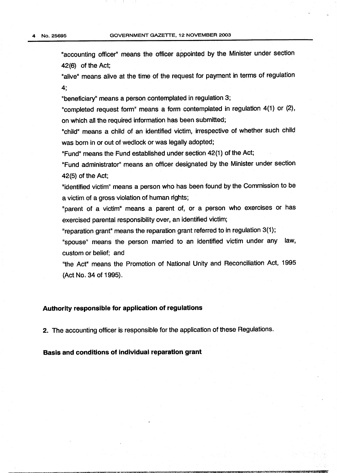"accounting officer" means the officer appointed by the Minister under section 42 (6) of the Act;

"alive" means alive at the time of the request for payment in terms of regulation 4;

"beneficiary" means a person contemplated in regulation 3;

"completed request form" means a form contemplated in regulation 4(1) or (2), on which all the required information has been submitted;

"child" means a child of an identified victim, irrespective of whether such child was born in or out of wedlock or was legally adopted;

"Fund" means the Fund established under section 42(1) of the Act;

"Fund administrator" means an officer designated by the Minister under section 42(5) of the Act;

"identified victim" means a person who has been found by the Commission to be a victim of a gross violation of human rights;

"parent of a victim" means a parent of, or a person who exercises or has exercised parental responsibility over, an identified victim;

"reparation grant" means the reparation grant referred to in regulation 3(1);

"spouse" means the person married to an identified victim under any law, custom or belief; and

"the Act" means the Promotion of National Unity and Reconciliation Act, 1995 (Act No. 34 of 1995) .

#### Authority responsible for application of regulations

2. The accounting officer is responsible for the application of these Regulations.

Basis and conditions of individual reparation grant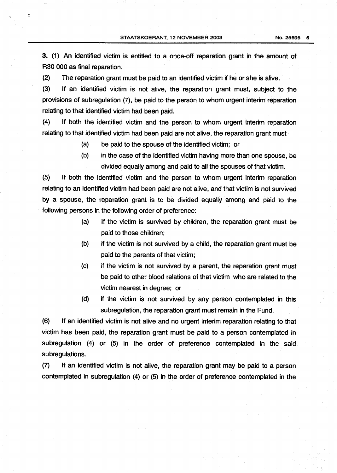3. (1) An identified victim is entitled to a once-off reparation grant in the amount of R30 000 as final reparation.

(2) The reparation grant must be paid to an identified victim if he or she is alive.

t

(3) If an identified victim is not alive, the reparation grant must, subject to the provisions of subregulation (7), be paid to the person to whom urgent interim reparation relating to that identified victim had been paid.

(4) If both the identified victim and the person to whom urgent interim reparation relating to that identified victim had been paid are not alive, the reparation grant must -

- (a) be paid to the spouse of the identified victim; or
- (b) in the case of the identified victim having more than one spouse, be divided equally among and paid to all the spouses of that victim .

(5) If both the identified victim and the person to whom urgent interim reparation relating to an identified victim had been paid are not alive, and that victim is not survived by a spouse, the reparation grant is to be divided equally among and paid to the following persons in the following order of preference:

- (a) If the victim is survived by children, the reparation grant must be paid to those children;
- (b) if the victim is not survived by a child, the reparation grant must be paid to the parents of that victim;
- (c) if the victim is not survived by a parent, the reparation grant must be paid to other blood relations of that victim who are related to the victim nearest in degree; or
- (d) if the victim is not survived by any person contemplated in this subregulation, the reparation grant must remain in the Fund.

(6) If an identified victim is not alive and no urgent interim reparation relating to that victim has been paid, the reparation grant must be paid to a person contemplated in subregulation (4) or (5) in the order of preference contemplated in the said subregulations .

(7) If an identified victim is not alive, the reparation grant may be paid to a person contemplated in subregulation (4) or (5) in the order of preference contemplated in the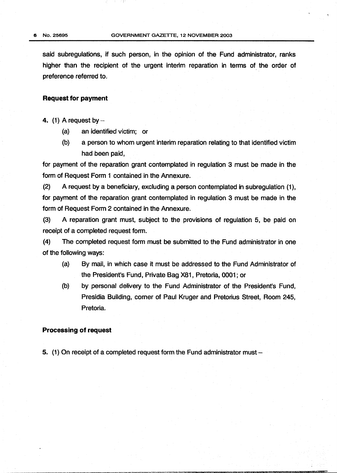said subregulations, if such person, in the opinion of the Fund administrator, ranks higher than the recipient of the urgent interim reparation in terms of the order of preference referred to.

#### Request for payment

4. (1) A request by  $-$ 

- (a) an identified victim; or
- (b) a person to whom urgent interim reparation relating to that identified victim had been paid,

for payment of the reparation grant contemplated in regulation <sup>3</sup> must be made in the form of Request Form <sup>1</sup> contained in the Annexure.

(2) A request by a beneficiary, excluding a person contemplated in subregulation (1), for payment of the reparation grant contemplated in regulation 3 must be made in the form of Request Form 2 contained in the Annexure.

(3) A reparation grant must, subject to the provisions of regulation 5, be paid on receipt of a completed request form.

(4) The completed request form must be submitted to the Fund administrator in one of the following ways:

- (a) By mail, in which case it must be addressed to the Fund Administrator of the President's Fund, Private Bag X81, Pretoria, 0001 ; or
- (b) by personal delivery to the Fund Administrator of the President's Fund, Presidia Building, comer of Paul Kruger and Pretorius Street, Room 245, Pretoria.

#### Processing of request

5. (1) On receipt of a completed request form the Fund administrator must -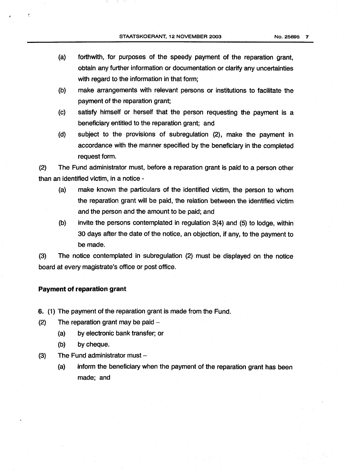- (a) forthwith, for purposes of the speedy payment of the reparation grant, obtain any further information or documentation or clarify any uncertainties with regard to the information in that form;
- (b) make arrangements with relevant persons or institutions to facilitate the payment of the reparation grant;
- (c) satisfy himself or herself that the person requesting the payment is a beneficiary entitled to the reparation grant; and
- (d) subject to the provisions of subregulation (2), make the payment in accordance with the manner specified by the beneficiary in the completed request form.

(2) The Fund administrator must, before a reparation grant is paid to a person other than an identified victim, in a notice -

- (a) make known the particulars of the identified victim, the person to whom the reparation grant will be paid, the relation between the identified victim and the person and the amount to be paid; and
- (b) invite the persons contemplated in regulation 3(4) and (5) to lodge, within 30 days after the date of the notice, an objection, if any, to the payment to be made.

(3) The notice contemplated in subregulation (2) must be displayed on the notice board at every magistrate's office or post office.

### Payment of reparation grant

- 6. (1) The payment of the reparation grant is made from the Fund.
- (2) The reparation grant may be paid  $-$ 
	- (a) by electronic bank transfer; or
	- (b) by cheque.
- (3) The Fund administrator must  $-$ 
	- (a) inform the beneficiary when the payment of the reparation grant has been made; and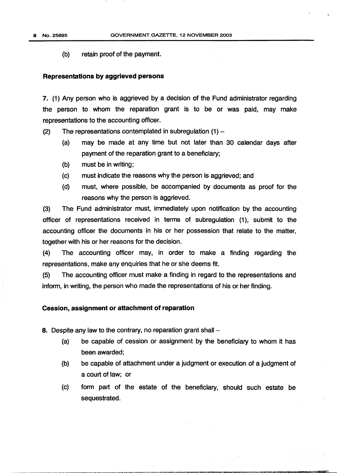8 No. 25695

(b) retain proof of the payment.

#### Representations by aggrieved persons

7. (1) Any person who is aggrieved by a decision of the Fund administrator regarding the person to whom the reparation grant is to be or was paid, may make representations to the accounting officer.

(2) The representations contemplated in subregulation (1)

- (a) may be made at any time but not later than 30 calendar days after payment of the reparation grant to a beneficiary;
- (b) must be in writing;
- (c) must indicate the reasons why the person is aggrieved; and
- (d) must, where possible, be accompanied by documents as proof for the reasons why the person is aggrieved.

(3) The Fund administrator must, immediately upon notification by the accounting officer of representations received in terms of subregulation (1), submit to the accounting officer the documents in his or her possession that relate to the matter, together with his or her reasons for the decision.

(4) The accounting officer may, in order to make a finding regarding the representations, make any enquiries that he or she deems fit.

(5) The accounting officer must make a finding in regard to the representations and inform, in writing, the person who made the representations of his or her finding.

#### Cession, assignment or attachment of reparation

8. Despite any law to the contrary, no reparation grant shall -

- (a) be capable of cession or assignment by the beneficiary to whom it has been awarded:
- (b) be capable of attachment under a judgment or execution of a judgment of a court of law; or
- (c) form part of the estate of the beneficiary, should such estate be sequestrated .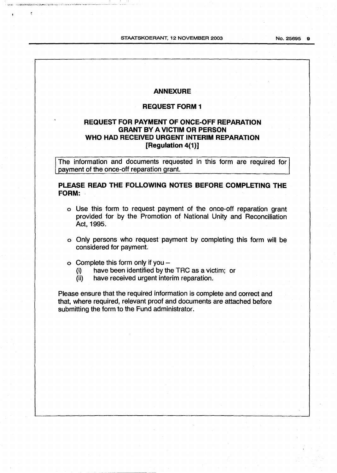No. 25695 9

### ANNEXURE

## REQUEST FORM <sup>1</sup>

### REQUEST FOR PAYMENT OF ONCE-OFF REPARATION GRANT BY AVICTIM OR PERSON WHO HAD RECEIVED URGENT INTERIM REPARATION [Regulation 4(1)]

The information and documents requested in this form are required for payment of the once-off reparation grant.

PLEASE READ THE FOLLOWING NOTES BEFORE COMPLETING THE FORM: -

- o Use this form to request payment of the once-off reparation grant provided for by the Promotion of National Unity and Reconciliation Act, 1995.
- o Only persons who request payment by completing this form will be considered for payment.
- $\circ$  Complete this form only if you –<br>(i) have been identified by the
	- (i) have been identified by the TRC as a victim; or  $(ii)$  have received urgent interim reparation.
	- have received urgent interim reparation.

Please ensure that the required information is complete and correct and that, where required, relevant proof and documents are attached before submitting the form to the Fund administrator.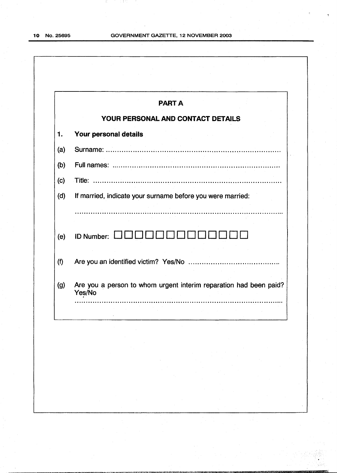-65

1 (145)

|     | <b>PART A</b>                                                               |
|-----|-----------------------------------------------------------------------------|
|     | YOUR PERSONAL AND CONTACT DETAILS                                           |
| 1.  | Your personal details                                                       |
| (a) |                                                                             |
| (b) |                                                                             |
| (c) |                                                                             |
| (d) | If married, indicate your surname before you were married:                  |
|     | .                                                                           |
| (e) | ID Number: LI                                                               |
|     |                                                                             |
| (f) |                                                                             |
|     | Are you a person to whom urgent interim reparation had been paid?<br>Yes/No |
|     |                                                                             |
|     | $\sim 10^{-1}$<br>$\sim$                                                    |
|     | $\sim$                                                                      |
|     |                                                                             |
|     | $\sim$<br>$\sim 100$<br>$\sim$                                              |
| (g) |                                                                             |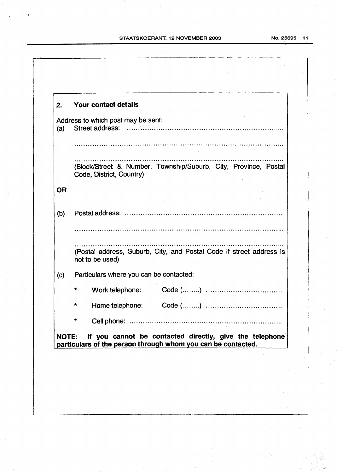an sa mga basa

| 2.           |   | Your contact details                                                                        |                                                              |  |  |
|--------------|---|---------------------------------------------------------------------------------------------|--------------------------------------------------------------|--|--|
|              |   | Address to which post may be sent:                                                          |                                                              |  |  |
| (a)          |   | Street address:                                                                             |                                                              |  |  |
|              |   |                                                                                             |                                                              |  |  |
|              |   | (Block/Street & Number, Township/Suburb, City, Province, Postal<br>Code, District, Country) |                                                              |  |  |
| <b>OR</b>    |   |                                                                                             |                                                              |  |  |
| (b)          |   |                                                                                             |                                                              |  |  |
|              |   |                                                                                             |                                                              |  |  |
|              |   | (Postal address, Suburb, City, and Postal Code if street address is<br>not to be used)      |                                                              |  |  |
| (c)          |   | Particulars where you can be contacted:                                                     |                                                              |  |  |
|              |   | Work telephone:                                                                             |                                                              |  |  |
|              |   | Home telephone: Code ()                                                                     |                                                              |  |  |
|              | * |                                                                                             |                                                              |  |  |
| <b>NOTE:</b> |   | If you cannot be contacted directly, give the telephone                                     | particulars of the person through whom you can be contacted. |  |  |

No. 25695 11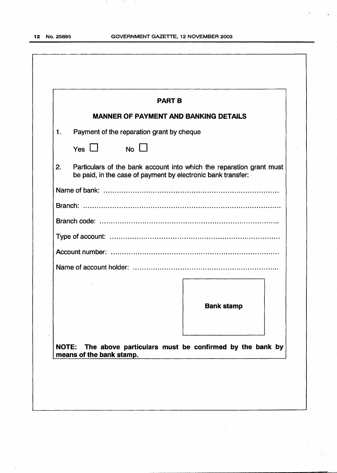h.

Ξł.

|                                          | <b>PART B</b>                                                |                                                                      |  |
|------------------------------------------|--------------------------------------------------------------|----------------------------------------------------------------------|--|
|                                          | <b>MANNER OF PAYMENT AND BANKING DETAILS</b>                 |                                                                      |  |
| $\mathbf{1}$ .                           | Payment of the reparation grant by cheque                    |                                                                      |  |
| Yes $\Box$                               | $No \Box$                                                    |                                                                      |  |
| 2.                                       | be paid, in the case of payment by electronic bank transfer: | Particulars of the bank account into which the reparation grant must |  |
|                                          |                                                              |                                                                      |  |
|                                          |                                                              |                                                                      |  |
|                                          |                                                              |                                                                      |  |
|                                          |                                                              |                                                                      |  |
|                                          |                                                              |                                                                      |  |
|                                          |                                                              |                                                                      |  |
|                                          |                                                              |                                                                      |  |
|                                          |                                                              | <b>Bank stamp</b>                                                    |  |
|                                          |                                                              |                                                                      |  |
| <b>NOTE:</b><br>means of the bank stamp. |                                                              | The above particulars must be confirmed by the bank by               |  |
|                                          |                                                              |                                                                      |  |
|                                          |                                                              |                                                                      |  |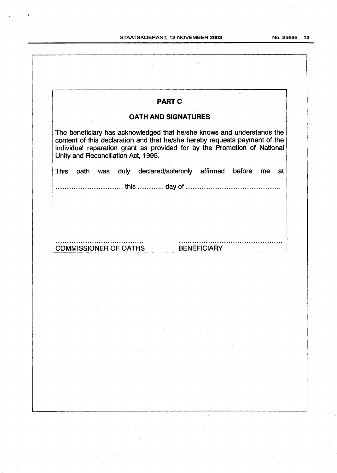Ч.

in an

|             |                                     | <b>PART C</b>                                                                                                                                                                                                                    |                    |           |          |
|-------------|-------------------------------------|----------------------------------------------------------------------------------------------------------------------------------------------------------------------------------------------------------------------------------|--------------------|-----------|----------|
|             |                                     | <b>OATH AND SIGNATURES</b>                                                                                                                                                                                                       |                    |           |          |
|             | Unity and Reconciliation Act, 1995. | The beneficiary has acknowledged that he/she knows and understands the<br>content of this declaration and that he/she hereby requests payment of the<br>individual reparation grant as provided for by the Promotion of National |                    |           |          |
| <b>This</b> | oath<br>was                         | duly declared/solemnly affirmed                                                                                                                                                                                                  |                    | before    | me<br>at |
|             |                                     | this  day of                                                                                                                                                                                                                     |                    |           |          |
|             |                                     |                                                                                                                                                                                                                                  |                    |           |          |
|             |                                     |                                                                                                                                                                                                                                  |                    |           |          |
|             |                                     |                                                                                                                                                                                                                                  |                    |           |          |
|             | <b>COMMISSIONER OF OATHS</b>        |                                                                                                                                                                                                                                  | <b>BENEFICIARY</b> |           |          |
|             |                                     |                                                                                                                                                                                                                                  |                    |           |          |
|             |                                     |                                                                                                                                                                                                                                  |                    |           |          |
|             |                                     |                                                                                                                                                                                                                                  |                    |           |          |
|             |                                     |                                                                                                                                                                                                                                  |                    | $\sim 10$ |          |
|             |                                     |                                                                                                                                                                                                                                  |                    |           |          |
|             |                                     |                                                                                                                                                                                                                                  |                    |           |          |
|             |                                     |                                                                                                                                                                                                                                  |                    |           |          |
|             |                                     |                                                                                                                                                                                                                                  |                    |           |          |
|             |                                     |                                                                                                                                                                                                                                  |                    |           |          |
|             |                                     |                                                                                                                                                                                                                                  |                    |           |          |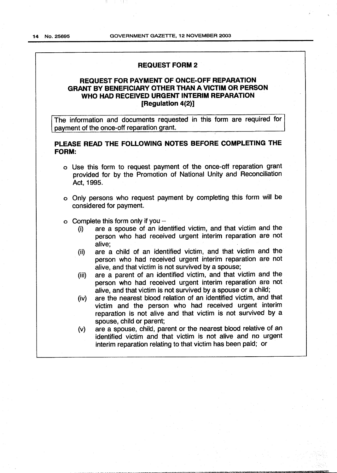#### REQUEST FORM <sup>2</sup>

### REQUEST FOR PAYMENT OF ONCE-OFF REPARATION GRANT BY BENEFICIARY OTHER THAN AVICTIM OR PERSON WHO HAD RECEIVED URGENT INTERIM REPARATION [Regulation 4(2)]

The information and documents requested in this form are required for payment of the once-off reparation grant.

### PLEASE READ THE FOLLOWING NOTES BEFORE COMPLETING THE FORM:

- o Use this form to request payment of the once-off reparation grant provided for by the Promotion of National Unity and Reconciliation Act, 1995.
- o Only persons who request payment by completing this form will be considered for payment.
- o Complete this form only if you  $-$ <br>(i) are a spouse of an ide
	- are a spouse of an identified victim, and that victim and the person who had received urgent interim reparation are not alive;
	- (ii) are a child of an identified victim, and that victim and the person who had received urgent interim reparation are not alive, and that victim is not survived by a spouse;
	- (iii) are a parent of an identified victim, and that victim and the person who had received urgent interim reparation are not alive, and that victim is not survived by a spouse or a child;
	- (iv) are the nearest blood relation of an identified victim, and that victim and the person who had received urgent interim reparation is not alive and that victim is not survived by a spouse, child or parent;
	- (v) are a spouse, child, parent or the nearest blood relative of an identified victim and that victim is not alive and no urgent interim reparation relating to that victim has been paid; or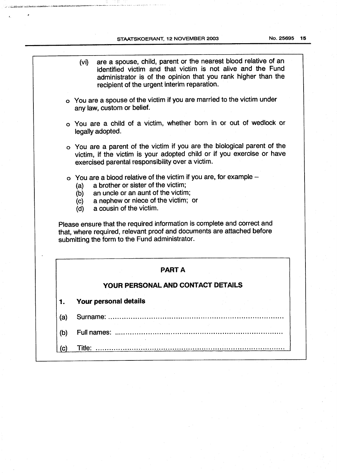.<br>Waxaa ku cala laa daraa ka

a. Kristania

.<br>NGC 20**21**8

No. 25695 15

|     | are a spouse, child, parent or the nearest blood relative of an<br>(Vi)<br>identified victim and that victim is not alive and the Fund<br>administrator is of the opinion that you rank higher than the<br>recipient of the urgent interim reparation. |
|-----|--------------------------------------------------------------------------------------------------------------------------------------------------------------------------------------------------------------------------------------------------------|
|     | o You are a spouse of the victim if you are married to the victim under<br>any law, custom or belief.                                                                                                                                                  |
|     | o You are a child of a victim, whether born in or out of wedlock or<br>legally adopted.                                                                                                                                                                |
|     | o You are a parent of the victim if you are the biological parent of the<br>victim, if the victim is your adopted child or if you exercise or have<br>exercised parental responsibility over a victim.                                                 |
|     | o You are a blood relative of the victim if you are, for example -<br>a brother or sister of the victim:<br>(a)<br>an uncle or an aunt of the victim;<br>(b)                                                                                           |
|     | a nephew or niece of the victim; or<br>(c)<br>a cousin of the victim.<br>(d)                                                                                                                                                                           |
|     | Please ensure that the required information is complete and correct and<br>that, where required, relevant proof and documents are attached before<br>submitting the form to the Fund administrator.                                                    |
|     | <b>PART A</b>                                                                                                                                                                                                                                          |
|     | YOUR PERSONAL AND CONTACT DETAILS                                                                                                                                                                                                                      |
|     | <b>Your personal details</b>                                                                                                                                                                                                                           |
| (a) | Surname:<br>. <b>.</b>                                                                                                                                                                                                                                 |
| (b) |                                                                                                                                                                                                                                                        |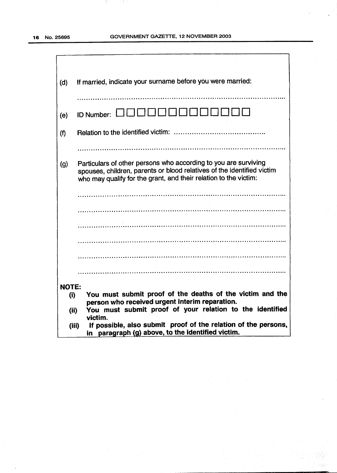B.

70 F.H.

| (d)          | If married, indicate your surname before you were married:                                                                                                                                                    |
|--------------|---------------------------------------------------------------------------------------------------------------------------------------------------------------------------------------------------------------|
|              |                                                                                                                                                                                                               |
| (e)          |                                                                                                                                                                                                               |
| (f)          |                                                                                                                                                                                                               |
|              |                                                                                                                                                                                                               |
| (g)          | Particulars of other persons who according to you are surviving<br>spouses, children, parents or blood relatives of the identified victim<br>who may qualify for the grant, and their relation to the victim: |
|              |                                                                                                                                                                                                               |
|              |                                                                                                                                                                                                               |
|              |                                                                                                                                                                                                               |
|              |                                                                                                                                                                                                               |
|              |                                                                                                                                                                                                               |
|              |                                                                                                                                                                                                               |
|              |                                                                                                                                                                                                               |
| <b>NOTE:</b> |                                                                                                                                                                                                               |
| (i)          | You must submit proof of the deaths of the victim and the                                                                                                                                                     |
|              | person who received urgent interim reparation.<br>You must submit proof of your relation to the identified<br>(ii)                                                                                            |
|              | victim.                                                                                                                                                                                                       |
|              | If possible, also submit proof of the relation of the persons,<br>(iii)<br>in paragraph (g) above, to the identified victim.                                                                                  |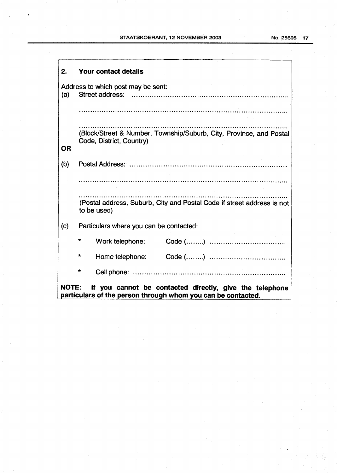| 2.           | Your contact details                                                                                                   |  |  |  |  |  |  |  |  |
|--------------|------------------------------------------------------------------------------------------------------------------------|--|--|--|--|--|--|--|--|
| (a)          | Address to which post may be sent:<br>Street address:                                                                  |  |  |  |  |  |  |  |  |
|              |                                                                                                                        |  |  |  |  |  |  |  |  |
| <b>OR</b>    | (Block/Street & Number, Township/Suburb, City, Province, and Postal<br>Code, District, Country)                        |  |  |  |  |  |  |  |  |
| (b)          |                                                                                                                        |  |  |  |  |  |  |  |  |
|              |                                                                                                                        |  |  |  |  |  |  |  |  |
|              | (Postal address, Suburb, City and Postal Code if street address is not<br>to be used)                                  |  |  |  |  |  |  |  |  |
| (c)          | Particulars where you can be contacted:                                                                                |  |  |  |  |  |  |  |  |
|              | $\star$<br>Work telephone:                                                                                             |  |  |  |  |  |  |  |  |
|              | *<br>Home telephone:                                                                                                   |  |  |  |  |  |  |  |  |
|              | $\star$                                                                                                                |  |  |  |  |  |  |  |  |
| <b>NOTE:</b> | If you cannot be contacted directly, give the telephone<br>particulars of the person through whom you can be contacted |  |  |  |  |  |  |  |  |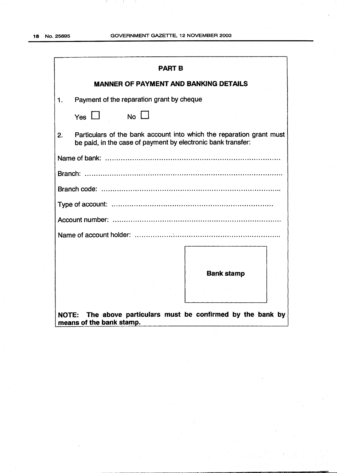| <b>PART B</b>                                                                                                                              |  |  |  |  |  |  |  |  |  |
|--------------------------------------------------------------------------------------------------------------------------------------------|--|--|--|--|--|--|--|--|--|
| <b>MANNER OF PAYMENT AND BANKING DETAILS</b>                                                                                               |  |  |  |  |  |  |  |  |  |
| Payment of the reparation grant by cheque<br>1.                                                                                            |  |  |  |  |  |  |  |  |  |
| $No \Box$<br>Yes $\Box$                                                                                                                    |  |  |  |  |  |  |  |  |  |
| Particulars of the bank account into which the reparation grant must<br>2.<br>be paid, in the case of payment by electronic bank transfer: |  |  |  |  |  |  |  |  |  |
|                                                                                                                                            |  |  |  |  |  |  |  |  |  |
|                                                                                                                                            |  |  |  |  |  |  |  |  |  |
|                                                                                                                                            |  |  |  |  |  |  |  |  |  |
|                                                                                                                                            |  |  |  |  |  |  |  |  |  |
|                                                                                                                                            |  |  |  |  |  |  |  |  |  |
|                                                                                                                                            |  |  |  |  |  |  |  |  |  |
| <b>Bank stamp</b>                                                                                                                          |  |  |  |  |  |  |  |  |  |
|                                                                                                                                            |  |  |  |  |  |  |  |  |  |
| The above particulars must be confirmed by the bank by<br><b>NOTE:</b><br>means of the bank stamp.                                         |  |  |  |  |  |  |  |  |  |